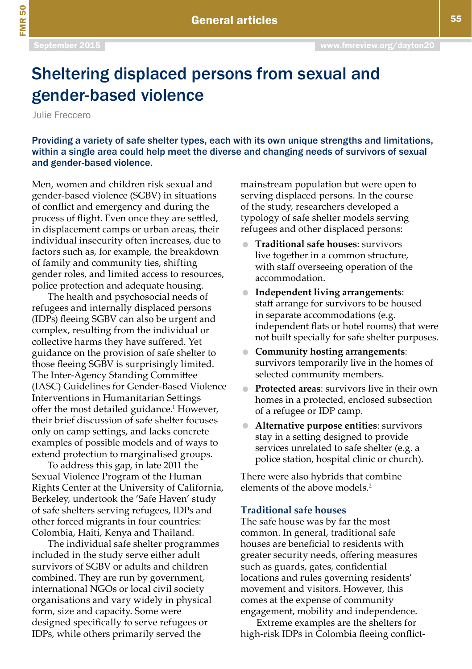FMR 50

# Sheltering displaced persons from sexual and gender-based violence

Julie Freccero

Providing a variety of safe shelter types, each with its own unique strengths and limitations, within a single area could help meet the diverse and changing needs of survivors of sexual and gender-based violence.

Men, women and children risk sexual and gender-based violence (SGBV) in situations of conflict and emergency and during the process of flight. Even once they are settled, in displacement camps or urban areas, their individual insecurity often increases, due to factors such as, for example, the breakdown of family and community ties, shifting gender roles, and limited access to resources, police protection and adequate housing.

The health and psychosocial needs of refugees and internally displaced persons (IDPs) fleeing SGBV can also be urgent and complex, resulting from the individual or collective harms they have suffered. Yet guidance on the provision of safe shelter to those fleeing SGBV is surprisingly limited. The Inter-Agency Standing Committee (IASC) Guidelines for Gender-Based Violence Interventions in Humanitarian Settings offer the most detailed guidance.1 However, their brief discussion of safe shelter focuses only on camp settings, and lacks concrete examples of possible models and of ways to extend protection to marginalised groups.

To address this gap, in late 2011 the Sexual Violence Program of the Human Rights Center at the University of California, Berkeley, undertook the 'Safe Haven' study of safe shelters serving refugees, IDPs and other forced migrants in four countries: Colombia, Haiti, Kenya and Thailand.

The individual safe shelter programmes included in the study serve either adult survivors of SGBV or adults and children combined. They are run by government, international NGOs or local civil society organisations and vary widely in physical form, size and capacity. Some were designed specifically to serve refugees or IDPs, while others primarily served the

mainstream population but were open to serving displaced persons. In the course of the study, researchers developed a typology of safe shelter models serving refugees and other displaced persons:

- **Traditional safe houses**: survivors live together in a common structure, with staff overseeing operation of the accommodation.
- **Independent living arrangements**: staff arrange for survivors to be housed in separate accommodations (e.g. independent flats or hotel rooms) that were not built specially for safe shelter purposes.
- **Community hosting arrangements**: survivors temporarily live in the homes of selected community members.
- **Protected areas**: survivors live in their own homes in a protected, enclosed subsection of a refugee or IDP camp.
- **Alternative purpose entities**: survivors stay in a setting designed to provide services unrelated to safe shelter (e.g. a police station, hospital clinic or church).

There were also hybrids that combine elements of the above models<sup>2</sup>

# **Traditional safe houses**

The safe house was by far the most common. In general, traditional safe houses are beneficial to residents with greater security needs, offering measures such as guards, gates, confidential locations and rules governing residents' movement and visitors. However, this comes at the expense of community engagement, mobility and independence.

Extreme examples are the shelters for high-risk IDPs in Colombia fleeing conflict-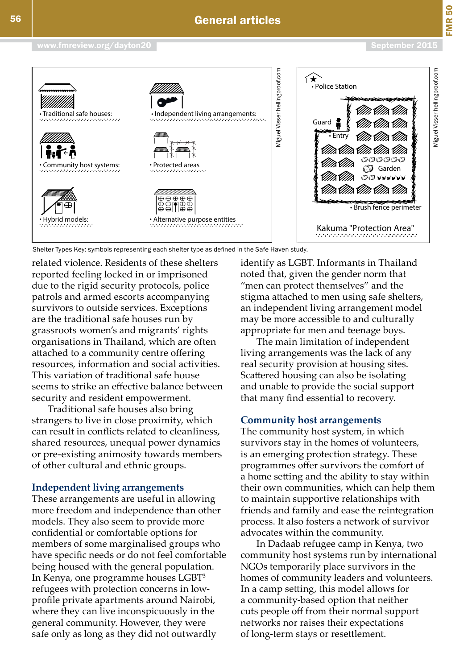



related violence. Residents of these shelters reported feeling locked in or imprisoned due to the rigid security protocols, police patrols and armed escorts accompanying survivors to outside services. Exceptions are the traditional safe houses run by grassroots women's and migrants' rights organisations in Thailand, which are often attached to a community centre offering resources, information and social activities. This variation of traditional safe house seems to strike an effective balance between security and resident empowerment.

Traditional safe houses also bring strangers to live in close proximity, which can result in conflicts related to cleanliness, shared resources, unequal power dynamics or pre-existing animosity towards members of other cultural and ethnic groups.

# **Independent living arrangements**

These arrangements are useful in allowing more freedom and independence than other models. They also seem to provide more confidential or comfortable options for members of some marginalised groups who have specific needs or do not feel comfortable being housed with the general population. In Kenya, one programme houses LGBT<sup>3</sup> refugees with protection concerns in lowprofile private apartments around Nairobi, where they can live inconspicuously in the general community. However, they were safe only as long as they did not outwardly

identify as LGBT. Informants in Thailand noted that, given the gender norm that "men can protect themselves" and the stigma attached to men using safe shelters, an independent living arrangement model may be more accessible to and culturally appropriate for men and teenage boys.

The main limitation of independent living arrangements was the lack of any real security provision at housing sites. Scattered housing can also be isolating and unable to provide the social support that many find essential to recovery.

## **Community host arrangements**

The community host system, in which survivors stay in the homes of volunteers, is an emerging protection strategy. These programmes offer survivors the comfort of a home setting and the ability to stay within their own communities, which can help them to maintain supportive relationships with friends and family and ease the reintegration process. It also fosters a network of survivor advocates within the community.

In Dadaab refugee camp in Kenya, two community host systems run by international NGOs temporarily place survivors in the homes of community leaders and volunteers. In a camp setting, this model allows for a community-based option that neither cuts people off from their normal support networks nor raises their expectations of long-term stays or resettlement.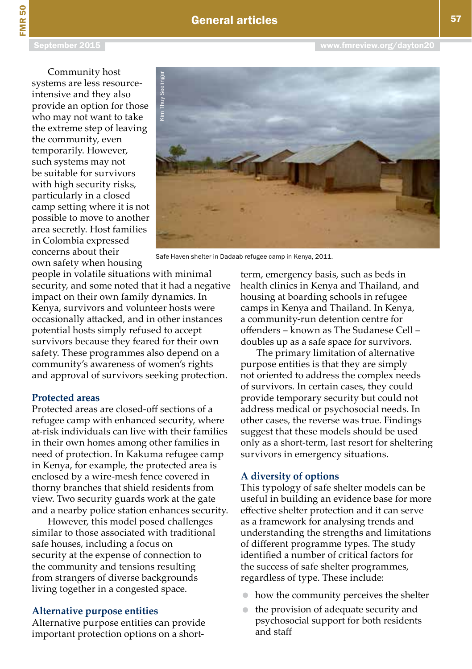# General articles

FMR 50

Community host systems are less resourceintensive and they also provide an option for those who may not want to take the extreme step of leaving the community, even temporarily. However, such systems may not be suitable for survivors with high security risks, particularly in a closed camp setting where it is not possible to move to another area secretly. Host families in Colombia expressed concerns about their own safety when housing



people in volatile situations with minimal security, and some noted that it had a negative impact on their own family dynamics. In Kenya, survivors and volunteer hosts were occasionally attacked, and in other instances potential hosts simply refused to accept survivors because they feared for their own safety. These programmes also depend on a community's awareness of women's rights and approval of survivors seeking protection.

# **Protected areas**

Protected areas are closed-off sections of a refugee camp with enhanced security, where at-risk individuals can live with their families in their own homes among other families in need of protection. In Kakuma refugee camp in Kenya, for example, the protected area is enclosed by a wire-mesh fence covered in thorny branches that shield residents from view. Two security guards work at the gate and a nearby police station enhances security.

However, this model posed challenges similar to those associated with traditional safe houses, including a focus on security at the expense of connection to the community and tensions resulting from strangers of diverse backgrounds living together in a congested space.

### **Alternative purpose entities**

Alternative purpose entities can provide important protection options on a short-

term, emergency basis, such as beds in health clinics in Kenya and Thailand, and housing at boarding schools in refugee camps in Kenya and Thailand. In Kenya, a community-run detention centre for offenders – known as The Sudanese Cell – doubles up as a safe space for survivors.

The primary limitation of alternative purpose entities is that they are simply not oriented to address the complex needs of survivors. In certain cases, they could provide temporary security but could not address medical or psychosocial needs. In other cases, the reverse was true. Findings suggest that these models should be used only as a short-term, last resort for sheltering survivors in emergency situations.

#### **A diversity of options**

This typology of safe shelter models can be useful in building an evidence base for more effective shelter protection and it can serve as a framework for analysing trends and understanding the strengths and limitations of different programme types. The study identified a number of critical factors for the success of safe shelter programmes, regardless of type. These include:

- how the community perceives the shelter
- the provision of adequate security and psychosocial support for both residents and staff

[www.fmreview.org/dayton20](http://www.fmreview.org/dayton20)